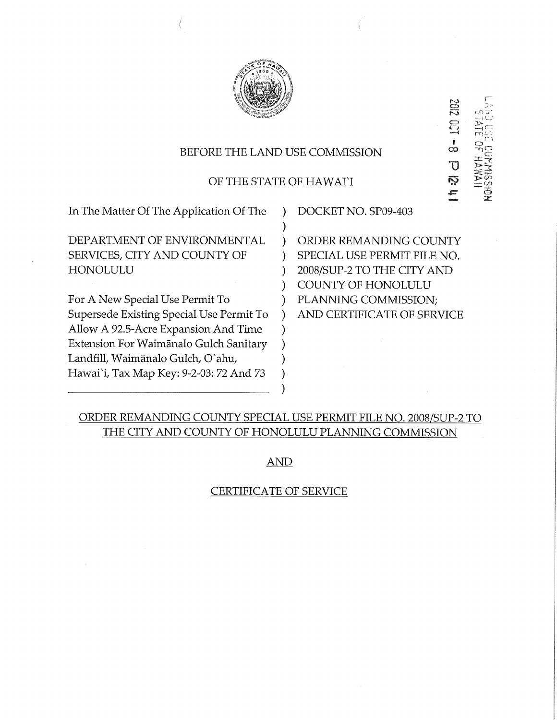

# BEFORE THE LAND USE COMMISSION

## OF THE STATE OF HAWAI`I

) ) ) ) ) ) ) ) ) ) ) ) )

In The Matter Of The Application Of The

DEPARTMENT OF ENVIRONMENTAL SERVICES, CITY AND COUNTY OF HONOLULU

For A New Special Use Permit To Supersede Existing Special Use Permit To Allow A 92.5-Acre Expansion And Time Extension For Waimānalo Gulch Sanitary Landfill, Waimanalo Gulch, O'ahu, Hawai'i, Tax Map Key: 9-2-03:72 And 73

DOCKET NO. SP09-403

ORDER REMANDING COUNTY SPECIAL USE PERMIT FILE NO. 2008/SUP-2 TO THE CITY AND COUNTY OF HONOLULU PLANNING COMMISSION; AND CERTIFICATE OF SERVICE

ಲಾ ಕ<br>—≀⊂  $\Xi$  .  $\Xi$   $\square$  $\overline{1}$  c

C221  $\frac{1}{2}$ 

 $\overline{u}$   $\overline{z}$   $\overline{z}$ 

202

ស៊ុ ç.

# ORDER REMANDING COUNTY SPECIAL USE PERMIT FILE NO. 2008/SUP-2 TO THE CITY AND COUNTY OF HONOLULU PLANNING COMMISSION

AND

## CERTIFICATE OF SERVICE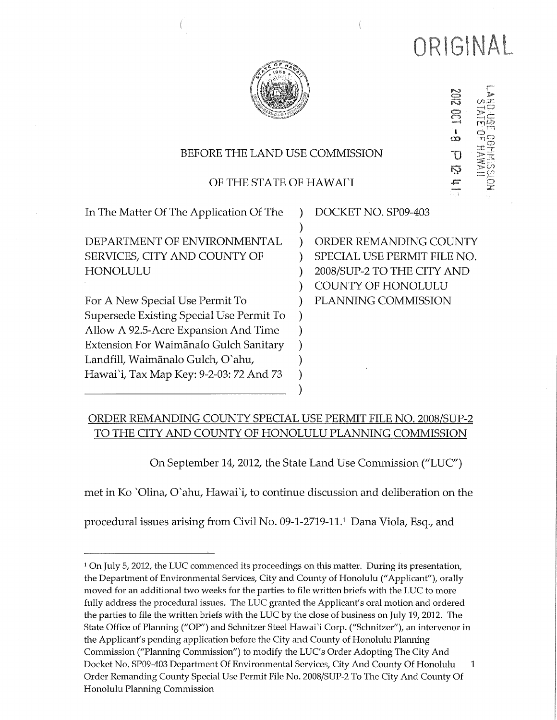

20 I o  $\overline{\text{U}}$ న  $\overline{\circ}$ 

# BEFORE THE LAND USE COMMISSION

# OF THE STATE OF HAWAI'I

) ) ) ) ) ) ) ) ) ) ) ) )

In The Matter Of The Application Of The

DEPARTMENT OF ENVIRONMENTAL SERVICES, CITY AND COUNTY OF HONOLULU

For A New Special Use Permit To Supersede Existing Special Use Permit To Allow A 92.5-Acre Expansion And Time Extension For Waimānalo Gulch Sanitary Landfill, Waimanalo Gulch, O'ahu, Hawai'i, Tax Map Key: 9-2-03:72 And 73

DOCKET NO. SP09-403

ORDER REMANDING COUNTY SPECIAL USE PERMIT FILE NO. 2008/SUP-2 TO THE CITY AND COUNTY OF HONOLULU PLANNING COMMISSION

# ORDER REMANDING COUNTY SPECIAL USE PERMIT FILE NO. 2008/SUP-2 TO THE CITY AND COUNTY OF HONOLULU PLANNING COMMISSION

On September 14, 2012, the State Land Use Commission ("LUC")

met in Ko "Olina, O'ahu, Hawai'i, to continue discussion and deliberation on the

procedural issues arising from Civil No. 09-1-2719-11.1 Dana Viola, Esq., and

<sup>&</sup>lt;sup>1</sup> On July 5, 2012, the LUC commenced its proceedings on this matter. During its presentation, the Department of Environmental Services, City and County of Honolulu ("Applicant"), orally moved for an additional two weeks for the parties to file written briefs with the LUC to more fully address the procedural issues. The LUC granted the Applicant's oral motion and ordered the parties to file the written briefs with the LUC by the close of business on July 19, 2012. The State Office of Planning ("OP") and Schnitzer Steel Hawai'i Corp. ("Schnitzer"), an intervenor in the Applicant's pending application before the City and County of Honolulu Planning Commission ("Planning Commission") to modify the LUC's Order Adopting The City And Docket No. SP09-403 Department Of Environmental Services, City And County Of Honolulu  $\mathbf{1}$ Order Remanding County Special Use Permit File No. 2008/SUP-2 To The City And County Of Honolulu Planning Commission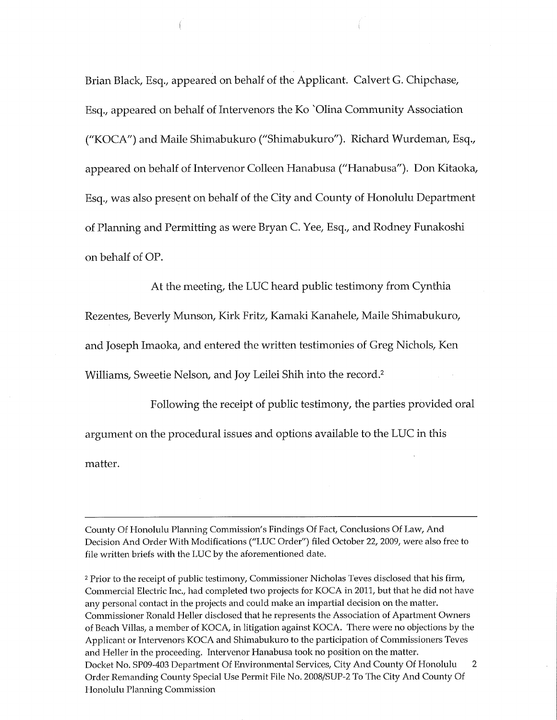Brian Black, Esq., appeared on behalf of the Applicant. Calvert G. Chipchase, Esq., appeared on behalf of Intervenors the Ko "Olina Community Association ("KOCA") and Maile Shimabukuro ("Shimabukuro'). Richard Wurdeman, Esq., appeared on behalf of Intervenor Colleen Hanabusa ("Hanabusa"). Don Kitaoka, Esq., was also present on behalf of the City and County of Honolulu Department of Planning and Permitting as were Bryan C. Yee, Esq., and Rodney Funakoshi on behalf of OP.

At the meeting, the LUC heard public testimony from Cynthia

Rezentes, Beverly Munson, Kirk Fritz, Kamaki Kanahele, Maile Shimabukuro,

and Joseph Imaoka, and entered the written testimonies of Greg Nichols, Ken

Williams, Sweetie Nelson, and Joy Leilei Shih into the record.2

Following the receipt of public testimony, the parties provided oral argument on the procedural issues and options available to the LUC in this matter.

County Of Honolulu Planning Commission's Findings Of Fact, Conclusions Of Law, And Decision And Order With Modifications ("LUC Order") filed October 22, 2009, were also free to file written briefs with the LUC by the aforementioned date.

2 Prior to the receipt of public testimony, Commissioner Nicholas Teves disclosed that his firm, Commercial Electric Inc., had completed two projects for KOCA in 2011, but that he did not have any personal contact in the projects and could make an impartial decision on the matter. Commissioner Ronald Heller disclosed that he represents the Association of Apartment Owners of Beach Villas, a member of KOCA, in litigation against KOCA. There were no objections by the Applicant or Intervenors KOCA and Shimabukuro to the participation of Commissioners Teves and Heller in the proceeding. Intervenor Hanabusa took no position on the matter. Docket No. SP09-403 Department Of Environmental Services, City And County Of Honolulu 2 Order Remanding County Special Use Permit File No. 2008/SUP-2 To The City And County Of Honolulu Planning Commission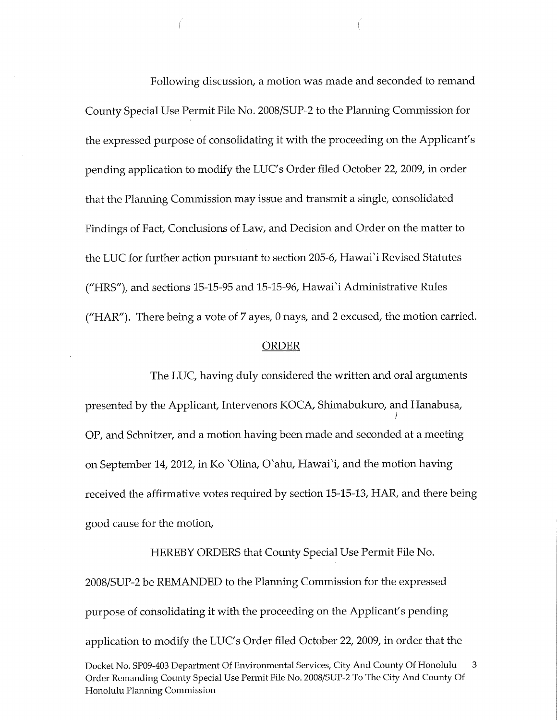Following discussion, a motion was made and seconded to remand County Special Use Permit File No. 2008/SUP-2 to the Planning Commission for the expressed purpose of consolidating it with the proceeding on the Applicant's pending application to modify the LUC's Order filed October 22, 2009, in order that the Planning Commission may issue and transmit a single, consolidated Findings of Fact, Conclusions of Law, and Decision and Order on the matter to the LUC for further action pursuant to section 205-6, Hawai'i Revised Statutes ("HRS"), and sections 15-15-95 and 15-15-96, Hawai'i Administrative Rules ("HAR'). There being a vote of 7 ayes, 0 nays, and 2 excused, the motion carried.

#### ORDER

The LUC, having duly considered the written and oral arguments presented by the Applicant, Intervenors KOCA, Shimabukuro, and Hanabusa, OP, and Schnitzer, and a motion having been made and seconded at a meeting on September 14, 2012, in Ko 'Olina, O'ahu, Hawai'i, and the motion having received the affirmative votes required by section 15-15-13, HAR, and there being good cause for the motion,

HEREBY ORDERS that County Special Use Permit File No. 2008/SUP-2 be REMANDED to the Planning Commission for the expressed purpose of consolidating it with the proceeding on the Applicant's pending application to modify the LUC's Order filed October 22, 2009, in order that the Docket No. SP09-403 Department Of Environmental Services, City And County Of Honolulu 3 Order Remanding County Special Use Permit File No. 2008/SUP-2 To The City And County Of Honolulu Planning Commission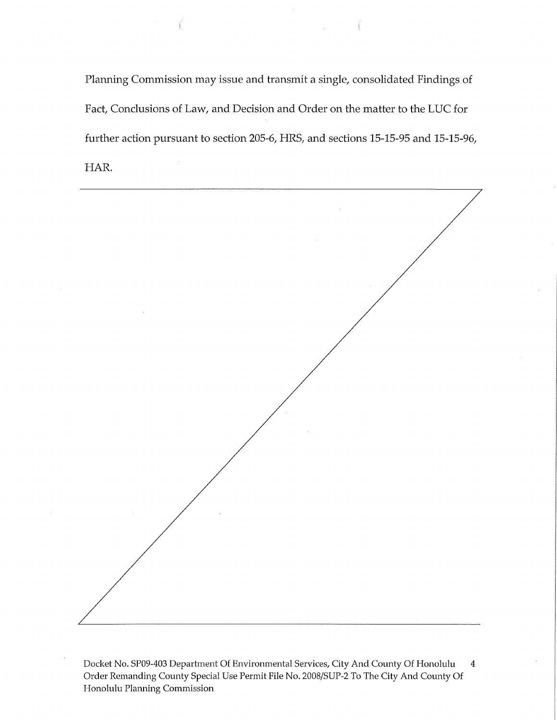Planning Commission may issue and transmit a single, consolidated Findings of Fact, Conclusions of Law, and Decision and Order on the matter to the LUC for further action pursuant to section 205-6, HRS, and sections 15-15-95 and 15-15-96, HAR.



Docket No. SP09-403 Department Of Environmental Services, City And County Of Honolulu 4 Order Remanding County Special Use Permit File No. 2008/SUP-2 To The City And County Of Honolulu Planning Commission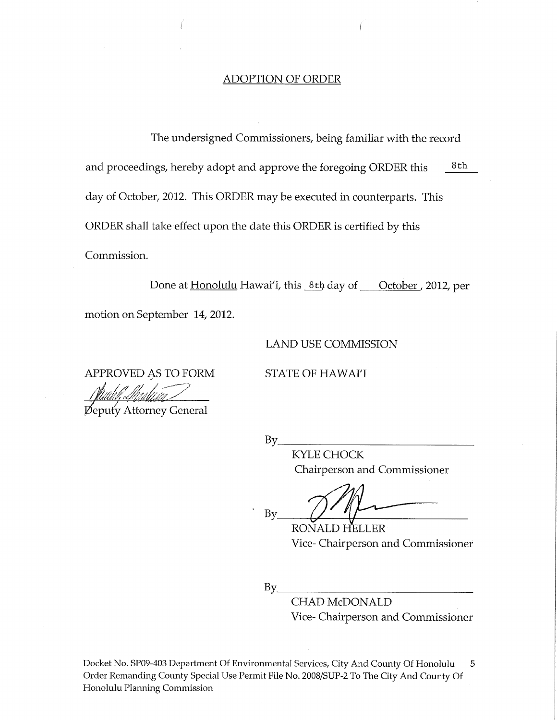# ADOPTION OF ORDER

The undersigned Commissioners, being familiar with the record and proceedings, hereby adopt and approve the foregoing ORDER this  $8th$ day of October, 2012. This ORDER may be executed in counterparts. This ORDER shall take effect upon the date this ORDER is certified by this Commission.

Done at Honolulu Hawai'i, this 8th day of Colober, 2012, per

motion on September 14, 2012.

LAND USE COMMISSION

APPROVED AS TO FORM STATE OF HAWAI'I

**Deputy Attorney General** 

KYLE CHOCK Chairperson and Commissioner

By

RONALD HELLER Vice- Chairperson and Commissioner

 $By_$ 

 $By$ 

CHAD McDONALD Vice- Chairperson and Commissioner

Docket No. SP09-403 Department Of Environmental Services, City And County Of Honolulu 5 Order Remanding County Special Use Permit File No. 2008/SUP-2 To The City And County Of Honolulu Planning Commission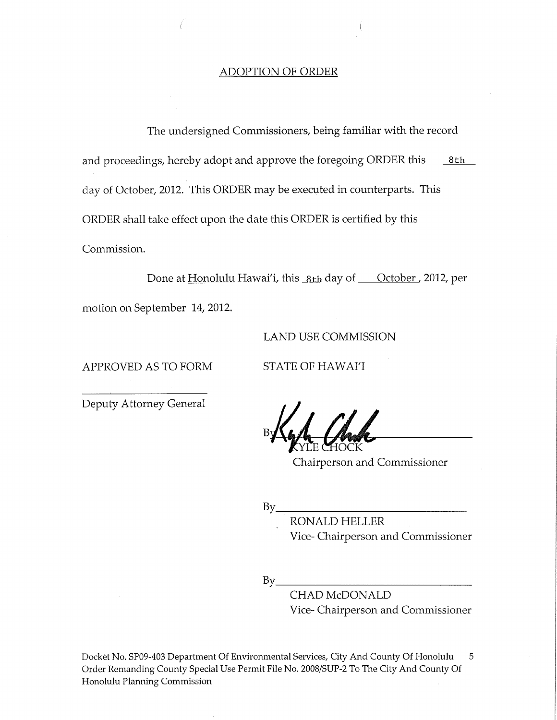### ADOPTION OF ORDER

The undersigned Commissioners, being familiar with the record and proceedings, hereby adopt and approve the foregoing ORDER this  $8th$ day of October, 2012. This ORDER may be executed in counterparts. This ORDER shall take effect upon the date this ORDER is certified by this Commission.

Done at Honolulu Hawai'i, this 8th day of Cotober, 2012, per motion on September 14, 2012.

## LAND USE COMMISSION

APPROVED AS TO FORM STATE OF HAWAI'I

Deputy Attorney General

Chairperson and Commissioner

 $By$ <sub>——</sub>

RONALD HELLER Vice- Chairperson and Commissioner

 $By$ 

CHAD McDONALD Vice- Chairperson and Commissioner

Docket No. SP09-403 Department Of Environmental Services, City And County Of Honolulu 5 Order Remanding County Special Use Permit File No. 2008/SUP-2 To The City And County Of Honolulu Planning Commission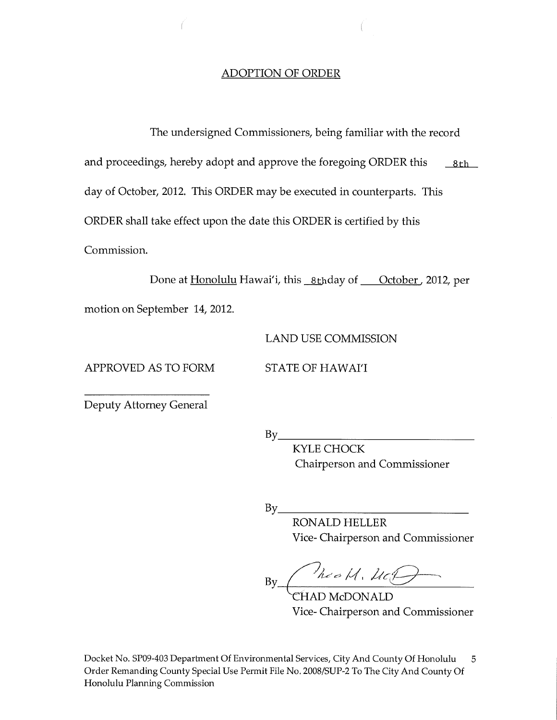## ADOPTION OF ORDER

The undersigned Commissioners, being familiar with the record

and proceedings, hereby adopt and approve the foregoing ORDER this  $8th$ 

day of October, 2012. This ORDER may be executed in counterparts. This

ORDER shall take effect upon the date this ORDER is certified by this

Commission.

Done at Honolulu Hawai'i, this <u>8th</u>day of **October**, 2012, per

motion on September 14, 2012.

LAND USE COMMISSION

APPROVED AS TO FORM STATE OF HAWAI'I

Deputy Attorney General

 $By$ 

KYLE CHOCK Chairperson and Commissioner

 $By$ <sub>—</sub>

RONALD HELLER Vice- Chairperson and Commissioner

By\_  $M.C.D$ 

Vice- Chairperson and Commissioner

Docket No. SP09-403 Department Of Environmental Services, City And County Of Honolulu 5 Order Remanding County Special Use Permit File No. 2008/SUP-2 To The City And County Of Honolulu Planning Commission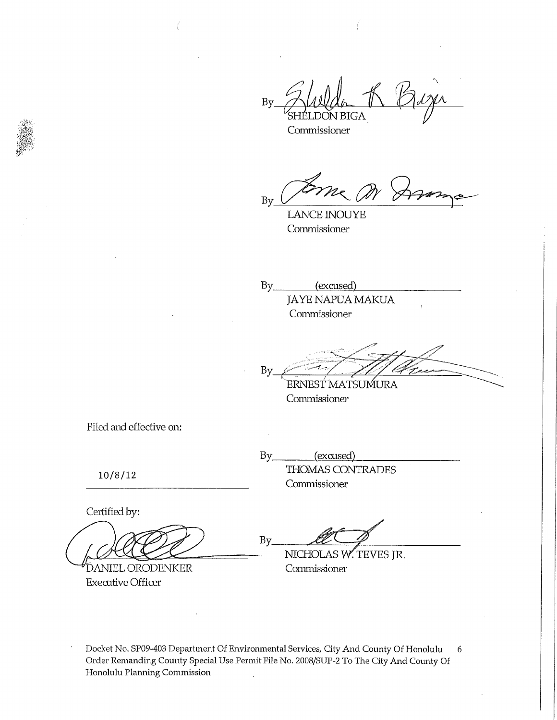By √ BIGA

Commissioner

By

LANCE INOUYE Commissioner

By<sub>\_\_\_\_\_\_\_\_</sub> (excused) JAYE NAPUA MAKUA Commissioner

By .<br>https://www. ERNEST MATSUMURA

**Commissioner** 

Filed and effective on:

10/8/12

Certified by:

**DANIEL ORODENKER** Executive Officer

By<sub>\_\_\_\_\_\_\_\_</sub>(excused) THOMAS CONTRADES Commissioner

 $By$ 

NICHOLAS W. TEVES JR. Commissioner

Docket No. SP09-403 Department Of Environmental Services, City And County Of Honolulu 6 Order Remanding County Special Use Permit File No. 2008/SUP-2 To The City And County Of Honolulu Planning Commission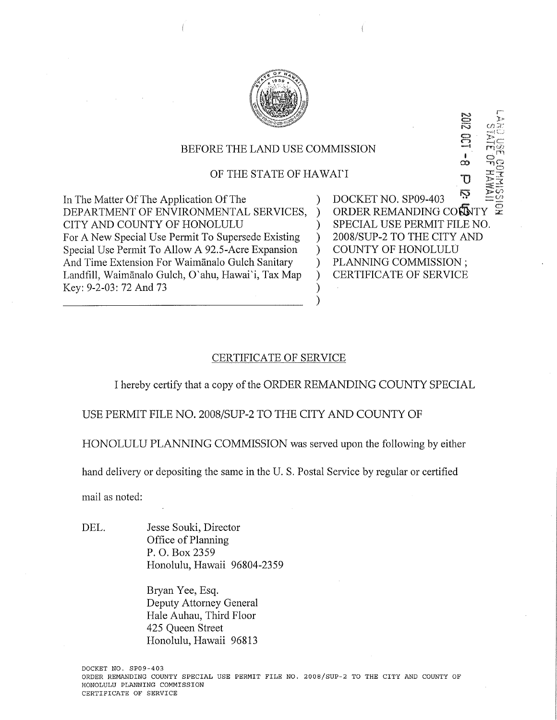

## BEFORE THE LAND USE COMMISSION

## OF THE STATE OF HAWAI'I

In The Matter Of The Application Of The DEPARTMENT OF ENVIRONMENTAL SERVICES, CITY AND COUNTY OF HONOLULU For A New Special Use Permit To Supersede Existing Special Use Permit To Allow A 92.5-Acre Expansion And Time Extension For Waimgnalo Gulch Sanitary Landfill, Waimānalo Gulch, O'ahu, Hawai'i, Tax Map Key: 9-2-03:72 And 73

DOCKET NO. SP09-403  $\overline{O}$  ORDER REMANDING CONNTY ) SPECIAL USE PERMIT FILE NO. ) 2008/SUP-2 TO THE CITY AND ) COUNTY OF HONOLULU ) PLANNING COMMISSION ; ) CERTIFICATE OF SERVICE

 $\mathbf{U}$   $\mathbf{C}$  $\frac{1}{2}$ ကြွ  $\pm\frac{\Theta}{\tau}$ 

Π

### CERTIFICATE OF SERVICE

I hereby certify that a copy of the ORDER REMANDING COUNTY SPECIAL

) )

USE PERMIT FILE NO. 2008/SUP-2 TO THE CITY AND COUNTY OF

HONOLULU PLANNING COMMISSION was served upon the following by either

hand delivery or depositing the same in the U.S. Postal Service by regular or certified

mail as noted:

DEL. Jesse Souki, Director Office of Planning P. O. Box 2359 Honolulu, Hawaii 96804-2359

> Bryan Yee, Esq. Deputy Attorney General Hale Auhau, Third Floor 425 Queen Street Honolulu, Hawaii 96813